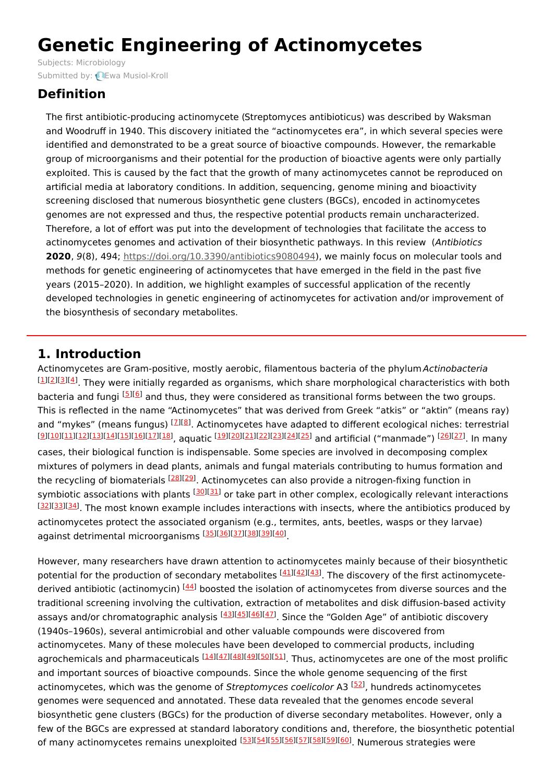# **Genetic Engineering of Actinomycetes**

Subjects: [Microbiology](https://encyclopedia.pub/item/subject/59) Submitted by: **Ewa [Musiol-Kroll](https://sciprofiles.com/profile/448714)** 

## **Definition**

The first antibiotic-producing actinomycete (Streptomyces antibioticus) was described by Waksman and Woodruff in 1940. This discovery initiated the "actinomycetes era", in which several species were identified and demonstrated to be a great source of bioactive compounds. However, the remarkable group of microorganisms and their potential for the production of bioactive agents were only partially exploited. This is caused by the fact that the growth of many actinomycetes cannot be reproduced on artificial media at laboratory conditions. In addition, sequencing, genome mining and bioactivity screening disclosed that numerous biosynthetic gene clusters (BGCs), encoded in actinomycetes genomes are not expressed and thus, the respective potential products remain uncharacterized. Therefore, a lot of effort was put into the development of technologies that facilitate the access to actinomycetes genomes and activation of their biosynthetic pathways. In this review (Antibiotics **2020**, 9(8), 494; <https://doi.org/10.3390/antibiotics9080494>), we mainly focus on molecular tools and methods for genetic engineering of actinomycetes that have emerged in the field in the past five years (2015–2020). In addition, we highlight examples of successful application of the recently developed technologies in genetic engineering of actinomycetes for activation and/or improvement of the biosynthesis of secondary metabolites.

## **1. Introduction**

Actinomycetes are Gram-positive, mostly aerobic, filamentous bacteria of the phylum Actinobacteria  $^{[1][2][3][4]}$  $^{[1][2][3][4]}$  $^{[1][2][3][4]}$  $^{[1][2][3][4]}$  $^{[1][2][3][4]}$  $^{[1][2][3][4]}$  $^{[1][2][3][4]}$  $^{[1][2][3][4]}$  $^{[1][2][3][4]}$ . They were initially regarded as organisms, which share morphological characteristics with both bacteria and fungi <sup>[\[5](#page-3-2)][[6](#page-3-3)]</sup> and thus, they were considered as transitional forms between the two groups. This is reflected in the name "Actinomycetes" that was derived from Greek "atkis" or "aktin" (means ray) and "mykes" (means fungus) <sup>[<u>[7](#page-3-4)][\[8](#page-3-5)</u>]. Actinomycetes have adapted to different ecological niches: terrestrial</sup> [<u>[9](#page-3-6)][\[10](#page-3-7)][\[11](#page-3-8)][\[12](#page-3-9)][\[13](#page-3-10)][\[14](#page-3-11)][\[15](#page-3-12)][\[16](#page-3-13)][\[17](#page-3-14)][\[18](#page-3-15)</u>]<sub>, aquatic <sup>[<u>19][\[20](#page-3-17)][\[21](#page-3-18)][\[22](#page-3-19)][\[23](#page-3-20)][\[24](#page-3-21)][\[25](#page-3-22)</u>] and artificial ("manmade") <sup>[\[26](#page-3-23)][\[27](#page-3-24)]</sup>. In many</sub></sup> cases, their biological function is indispensable. Some species are involved in decomposing complex mixtures of polymers in dead plants, animals and fungal materials contributing to humus formation and the recycling of biomaterials <sup>[[28\]](#page-3-25)[[29\]](#page-3-26)</sup>. Actinomycetes can also provide a nitrogen-fixing function in symbiotic associations with plants <sup>[[30\]](#page-3-27)[[31\]](#page-3-28)</sup> or take part in other complex, ecologically relevant interactions [[32](#page-4-0)][\[33\]](#page-4-1)[[34](#page-4-2)]. The most known example includes interactions with insects, where the antibiotics produced by actinomycetes protect the associated organism (e.g., termites, ants, beetles, wasps or they larvae) against detrimental microorganisms [\[35](#page-4-3)][[36](#page-4-4)][\[37](#page-4-5)][[38](#page-4-6)][\[39](#page-4-7)][[40](#page-4-8)]

However, many researchers have drawn attention to actinomycetes mainly because of their biosynthetic potential for the production of secondary metabolites <sup>[[41\]](#page-4-9)[[42\]](#page-4-10)[[43\]](#page-4-11)</sup>. The discovery of the first actinomycete-derived antibiotic (actinomycin) <sup>[[44](#page-4-12)]</sup> boosted the isolation of actinomycetes from diverse sources and the traditional screening involving the cultivation, extraction of metabolites and disk diffusion-based activity assays and/or chromatographic analysis [\[43](#page-4-11)][\[45](#page-4-13)][\[46](#page-4-14)][\[47](#page-4-15)]. Since the "Golden Age" of antibiotic discovery (1940s–1960s), several antimicrobial and other valuable compounds were discovered from actinomycetes. Many of these molecules have been developed to commercial products, including agrochemicals and pharmaceuticals [\[14\]](#page-3-11)[[47](#page-4-15)][\[48\]](#page-4-16)[[49](#page-4-17)][\[50\]](#page-4-18)[[51](#page-4-19)]. Thus, actinomycetes are one of the most prolific and important sources of bioactive compounds. Since the whole genome sequencing of the first actinomycetes, which was the genome of Streptomyces coelicolor A3 <sup>[\[52](#page-4-20)]</sup>, hundreds actinomycetes genomes were sequenced and annotated. These data revealed that the genomes encode several biosynthetic gene clusters (BGCs) for the production of diverse secondary metabolites. However, only a few of the BGCs are expressed at standard laboratory conditions and, therefore, the biosynthetic potential of many actinomycetes remains unexploited [\[53](#page-4-21)][\[54](#page-4-22)][\[55](#page-4-23)][\[56](#page-4-24)][\[57](#page-4-25)][\[58](#page-4-26)][\[59](#page-5-0)][\[60](#page-5-1)]. Numerous strategies were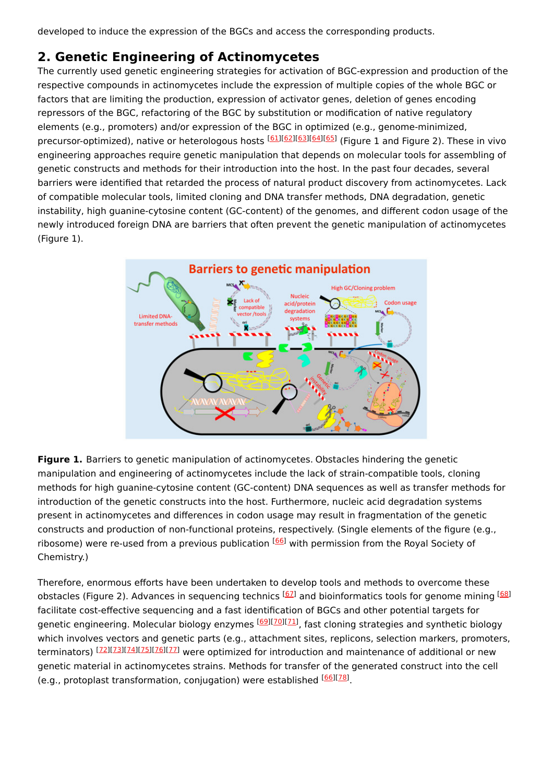developed to induce the expression of the BGCs and access the corresponding products.

## **2. Genetic Engineering of Actinomycetes**

The currently used genetic engineering strategies for activation of BGC-expression and production of the respective compounds in actinomycetes include the expression of multiple copies of the whole BGC or factors that are limiting the production, expression of activator genes, deletion of genes encoding repressors of the BGC, refactoring of the BGC by substitution or modification of native regulatory elements (e.g., promoters) and/or expression of the BGC in optimized (e.g., genome-minimized, precursor-optimized), native or heterologous hosts <sup>[\[61](#page-5-2)][\[62](#page-5-3)][\[63](#page-5-4)][\[64](#page-5-5)][\[65](#page-5-6)]</sup> (Figure 1 and Figure 2). These in vivo engineering approaches require genetic manipulation that depends on molecular tools for assembling of genetic constructs and methods for their introduction into the host. In the past four decades, several barriers were identified that retarded the process of natural product discovery from actinomycetes. Lack of compatible molecular tools, limited cloning and DNA transfer methods, DNA degradation, genetic instability, high guanine-cytosine content (GC-content) of the genomes, and different codon usage of the newly introduced foreign DNA are barriers that often prevent the genetic manipulation of actinomycetes (Figure 1).



**Figure 1.** Barriers to genetic manipulation of actinomycetes. Obstacles hindering the genetic manipulation and engineering of actinomycetes include the lack of strain-compatible tools, cloning methods for high guanine-cytosine content (GC-content) DNA sequences as well as transfer methods for introduction of the genetic constructs into the host. Furthermore, nucleic acid degradation systems present in actinomycetes and differences in codon usage may result in fragmentation of the genetic constructs and production of non-functional proteins, respectively. (Single elements of the figure (e.g., ribosome) were re-used from a previous publication <sup>[[66](#page-5-7)]</sup> with permission from the Royal Society of Chemistry.)

Therefore, enormous efforts have been undertaken to develop tools and methods to overcome these obstacles (Figure 2). Advances in sequencing technics <sup>[[67\]](#page-5-8)</sup> and bioinformatics tools for genome mining <sup>[[68](#page-5-9)]</sup> facilitate cost-effective sequencing and a fast identification of BGCs and other potential targets for genetic engineering. Molecular biology enzymes <sup>[\[69](#page-5-10)][\[70](#page-5-11)][\[71](#page-5-12)]</sup>, fast cloning strategies and synthetic biology which involves vectors and genetic parts (e.g., attachment sites, replicons, selection markers, promoters, terminators) [\[72\]](#page-5-13)[[73](#page-5-14)][\[74\]](#page-5-15)[[75](#page-5-16)][\[76\]](#page-5-17)[[77](#page-5-18)] were optimized for introduction and maintenance of additional or new genetic material in actinomycetes strains. Methods for transfer of the generated construct into the cell (e.g., protoplast transformation, conjugation) were established [[66\]](#page-5-7)[[78\]](#page-5-19).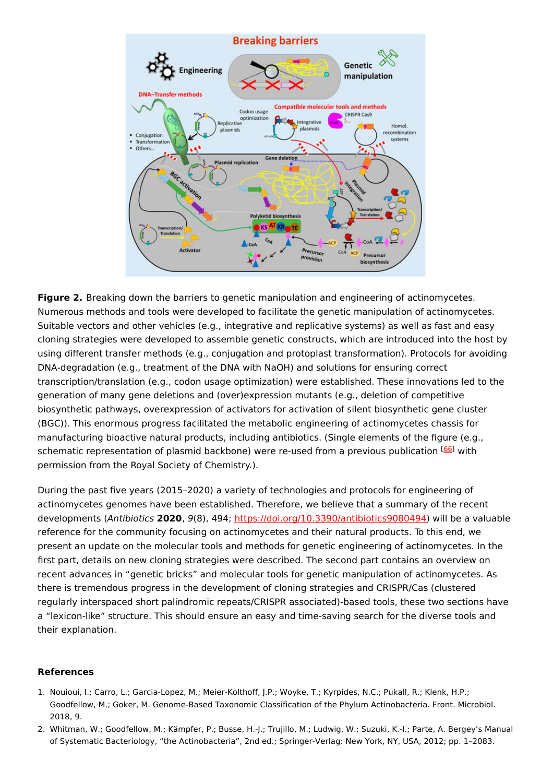

**Figure 2.** Breaking down the barriers to genetic manipulation and engineering of actinomycetes. Numerous methods and tools were developed to facilitate the genetic manipulation of actinomycetes. Suitable vectors and other vehicles (e.g., integrative and replicative systems) as well as fast and easy cloning strategies were developed to assemble genetic constructs, which are introduced into the host by using different transfer methods (e.g., conjugation and protoplast transformation). Protocols for avoiding DNA-degradation (e.g., treatment of the DNA with NaOH) and solutions for ensuring correct transcription/translation (e.g., codon usage optimization) were established. These innovations led to the generation of many gene deletions and (over)expression mutants (e.g., deletion of competitive biosynthetic pathways, overexpression of activators for activation of silent biosynthetic gene cluster (BGC)). This enormous progress facilitated the metabolic engineering of actinomycetes chassis for manufacturing bioactive natural products, including antibiotics. (Single elements of the figure (e.g., schematic representation of plasmid backbone) were re-used from a previous publication <sup>[\[66](#page-5-7)]</sup> with permission from the Royal Society of Chemistry.).

During the past five years (2015–2020) a variety of technologies and protocols for engineering of actinomycetes genomes have been established. Therefore, we believe that a summary of the recent developments (Antibiotics **2020**, 9(8), 494; <https://doi.org/10.3390/antibiotics9080494>) will be a valuable reference for the community focusing on actinomycetes and their natural products. To this end, we present an update on the molecular tools and methods for genetic engineering of actinomycetes. In the first part, details on new cloning strategies were described. The second part contains an overview on recent advances in "genetic bricks" and molecular tools for genetic manipulation of actinomycetes. As there is tremendous progress in the development of cloning strategies and CRISPR/Cas (clustered regularly interspaced short palindromic repeats/CRISPR associated)-based tools, these two sections have a "lexicon-like" structure. This should ensure an easy and time-saving search for the diverse tools and their explanation.

#### **References**

- <span id="page-2-0"></span>1. Nouioui, I.; Carro, L.; Garcia-Lopez, M.; Meier-Kolthoff, J.P.; Woyke, T.; Kyrpides, N.C.; Pukall, R.; Klenk, H.P.; Goodfellow, M.; Goker, M. Genome-Based Taxonomic Classification of the Phylum Actinobacteria. Front. Microbiol. 2018, 9.
- <span id="page-2-1"></span>2. Whitman, W.; Goodfellow, M.; Kämpfer, P.; Busse, H.-J.; Trujillo, M.; Ludwig, W.; Suzuki, K.-I.; Parte, A. Bergey's Manual of Systematic Bacteriology, "the Actinobacteria", 2nd ed.; Springer-Verlag: New York, NY, USA, 2012; pp. 1–2083.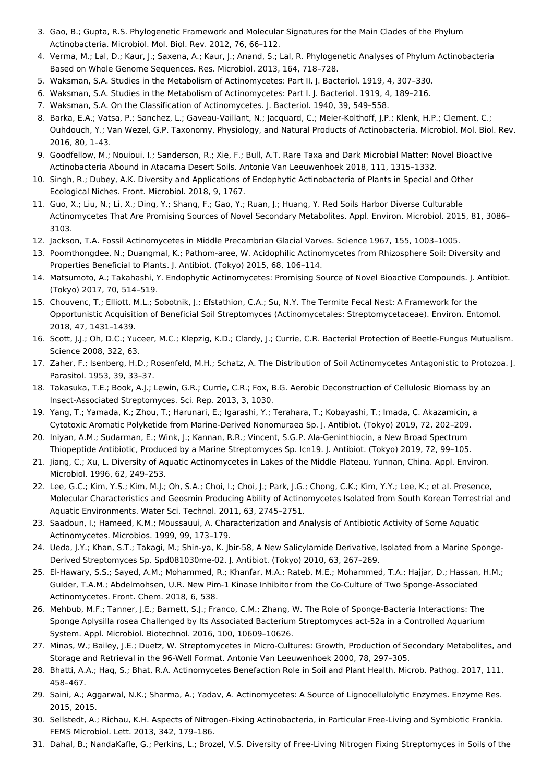- <span id="page-3-0"></span>3. Gao, B.; Gupta, R.S. Phylogenetic Framework and Molecular Signatures for the Main Clades of the Phylum Actinobacteria. Microbiol. Mol. Biol. Rev. 2012, 76, 66–112.
- <span id="page-3-1"></span>4. Verma, M.; Lal, D.; Kaur, J.; Saxena, A.; Kaur, J.; Anand, S.; Lal, R. Phylogenetic Analyses of Phylum Actinobacteria Based on Whole Genome Sequences. Res. Microbiol. 2013, 164, 718–728.
- <span id="page-3-2"></span>5. Waksman, S.A. Studies in the Metabolism of Actinomycetes: Part II. J. Bacteriol. 1919, 4, 307–330.
- <span id="page-3-3"></span>6. Waksman, S.A. Studies in the Metabolism of Actinomycetes: Part I. J. Bacteriol. 1919, 4, 189–216.
- <span id="page-3-4"></span>7. Waksman, S.A. On the Classification of Actinomycetes. J. Bacteriol. 1940, 39, 549–558.
- <span id="page-3-5"></span>8. Barka, E.A.; Vatsa, P.; Sanchez, L.; Gaveau-Vaillant, N.; Jacquard, C.; Meier-Kolthoff, J.P.; Klenk, H.P.; Clement, C.; Ouhdouch, Y.; Van Wezel, G.P. Taxonomy, Physiology, and Natural Products of Actinobacteria. Microbiol. Mol. Biol. Rev. 2016, 80, 1–43.
- <span id="page-3-6"></span>9. Goodfellow, M.; Nouioui, I.; Sanderson, R.; Xie, F.; Bull, A.T. Rare Taxa and Dark Microbial Matter: Novel Bioactive Actinobacteria Abound in Atacama Desert Soils. Antonie Van Leeuwenhoek 2018, 111, 1315–1332.
- <span id="page-3-7"></span>10. Singh, R.; Dubey, A.K. Diversity and Applications of Endophytic Actinobacteria of Plants in Special and Other Ecological Niches. Front. Microbiol. 2018, 9, 1767.
- <span id="page-3-8"></span>11. Guo, X.; Liu, N.; Li, X.; Ding, Y.; Shang, F.; Gao, Y.; Ruan, J.; Huang, Y. Red Soils Harbor Diverse Culturable Actinomycetes That Are Promising Sources of Novel Secondary Metabolites. Appl. Environ. Microbiol. 2015, 81, 3086– 3103.
- <span id="page-3-9"></span>12. Jackson, T.A. Fossil Actinomycetes in Middle Precambrian Glacial Varves. Science 1967, 155, 1003–1005.
- <span id="page-3-10"></span>13. Poomthongdee, N.; Duangmal, K.; Pathom-aree, W. Acidophilic Actinomycetes from Rhizosphere Soil: Diversity and Properties Beneficial to Plants. J. Antibiot. (Tokyo) 2015, 68, 106–114.
- <span id="page-3-11"></span>14. Matsumoto, A.; Takahashi, Y. Endophytic Actinomycetes: Promising Source of Novel Bioactive Compounds. J. Antibiot. (Tokyo) 2017, 70, 514–519.
- <span id="page-3-12"></span>15. Chouvenc, T.; Elliott, M.L.; Sobotnik, J.; Efstathion, C.A.; Su, N.Y. The Termite Fecal Nest: A Framework for the Opportunistic Acquisition of Beneficial Soil Streptomyces (Actinomycetales: Streptomycetaceae). Environ. Entomol. 2018, 47, 1431–1439.
- <span id="page-3-13"></span>16. Scott, J.J.; Oh, D.C.; Yuceer, M.C.; Klepzig, K.D.; Clardy, J.; Currie, C.R. Bacterial Protection of Beetle-Fungus Mutualism. Science 2008, 322, 63.
- <span id="page-3-14"></span>17. Zaher, F.; Isenberg, H.D.; Rosenfeld, M.H.; Schatz, A. The Distribution of Soil Actinomycetes Antagonistic to Protozoa. J. Parasitol. 1953, 39, 33–37.
- <span id="page-3-15"></span>18. Takasuka, T.E.; Book, A.J.; Lewin, G.R.; Currie, C.R.; Fox, B.G. Aerobic Deconstruction of Cellulosic Biomass by an Insect-Associated Streptomyces. Sci. Rep. 2013, 3, 1030.
- <span id="page-3-16"></span>19. Yang, T.; Yamada, K.; Zhou, T.; Harunari, E.; Igarashi, Y.; Terahara, T.; Kobayashi, T.; Imada, C. Akazamicin, a Cytotoxic Aromatic Polyketide from Marine-Derived Nonomuraea Sp. J. Antibiot. (Tokyo) 2019, 72, 202–209.
- <span id="page-3-17"></span>20. Iniyan, A.M.; Sudarman, E.; Wink, J.; Kannan, R.R.; Vincent, S.G.P. Ala-Geninthiocin, a New Broad Spectrum Thiopeptide Antibiotic, Produced by a Marine Streptomyces Sp. Icn19. J. Antibiot. (Tokyo) 2019, 72, 99–105.
- <span id="page-3-18"></span>21. Jiang, C.; Xu, L. Diversity of Aquatic Actinomycetes in Lakes of the Middle Plateau, Yunnan, China. Appl. Environ. Microbiol. 1996, 62, 249–253.
- <span id="page-3-19"></span>22. Lee, G.C.; Kim, Y.S.; Kim, M.J.; Oh, S.A.; Choi, I.; Choi, J.; Park, J.G.; Chong, C.K.; Kim, Y.Y.; Lee, K.; et al. Presence, Molecular Characteristics and Geosmin Producing Ability of Actinomycetes Isolated from South Korean Terrestrial and Aquatic Environments. Water Sci. Technol. 2011, 63, 2745–2751.
- <span id="page-3-20"></span>23. Saadoun, I.; Hameed, K.M.; Moussauui, A. Characterization and Analysis of Antibiotic Activity of Some Aquatic Actinomycetes. Microbios. 1999, 99, 173–179.
- <span id="page-3-21"></span>24. Ueda, J.Y.; Khan, S.T.; Takagi, M.; Shin-ya, K. Jbir-58, A New Salicylamide Derivative, Isolated from a Marine Sponge-Derived Streptomyces Sp. Spd081030me-02. J. Antibiot. (Tokyo) 2010, 63, 267–269.
- <span id="page-3-22"></span>25. El-Hawary, S.S.; Sayed, A.M.; Mohammed, R.; Khanfar, M.A.; Rateb, M.E.; Mohammed, T.A.; Hajjar, D.; Hassan, H.M.; Gulder, T.A.M.; Abdelmohsen, U.R. New Pim-1 Kinase Inhibitor from the Co-Culture of Two Sponge-Associated Actinomycetes. Front. Chem. 2018, 6, 538.
- <span id="page-3-23"></span>26. Mehbub, M.F.; Tanner, J.E.; Barnett, S.J.; Franco, C.M.; Zhang, W. The Role of Sponge-Bacteria Interactions: The Sponge Aplysilla rosea Challenged by Its Associated Bacterium Streptomyces act-52a in a Controlled Aquarium System. Appl. Microbiol. Biotechnol. 2016, 100, 10609–10626.
- <span id="page-3-24"></span>27. Minas, W.; Bailey, J.E.; Duetz, W. Streptomycetes in Micro-Cultures: Growth, Production of Secondary Metabolites, and Storage and Retrieval in the 96-Well Format. Antonie Van Leeuwenhoek 2000, 78, 297–305.
- <span id="page-3-25"></span>28. Bhatti, A.A.; Haq, S.; Bhat, R.A. Actinomycetes Benefaction Role in Soil and Plant Health. Microb. Pathog. 2017, 111, 458–467.
- <span id="page-3-26"></span>29. Saini, A.; Aggarwal, N.K.; Sharma, A.; Yadav, A. Actinomycetes: A Source of Lignocellulolytic Enzymes. Enzyme Res. 2015, 2015.
- <span id="page-3-27"></span>30. Sellstedt, A.; Richau, K.H. Aspects of Nitrogen-Fixing Actinobacteria, in Particular Free-Living and Symbiotic Frankia. FEMS Microbiol. Lett. 2013, 342, 179–186.
- <span id="page-3-28"></span>31. Dahal, B.; NandaKafle, G.; Perkins, L.; Brozel, V.S. Diversity of Free-Living Nitrogen Fixing Streptomyces in Soils of the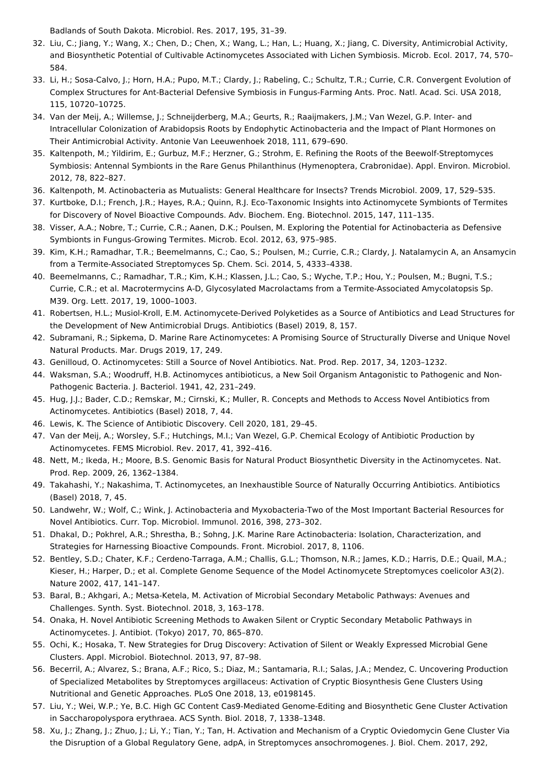<span id="page-4-0"></span>Badlands of South Dakota. Microbiol. Res. 2017, 195, 31–39.

- 32. Liu, C.; Jiang, Y.; Wang, X.; Chen, D.; Chen, X.; Wang, L.; Han, L.; Huang, X.; Jiang, C. Diversity, Antimicrobial Activity, and Biosynthetic Potential of Cultivable Actinomycetes Associated with Lichen Symbiosis. Microb. Ecol. 2017, 74, 570– 584.
- <span id="page-4-1"></span>33. Li, H.; Sosa-Calvo, J.; Horn, H.A.; Pupo, M.T.; Clardy, J.; Rabeling, C.; Schultz, T.R.; Currie, C.R. Convergent Evolution of Complex Structures for Ant-Bacterial Defensive Symbiosis in Fungus-Farming Ants. Proc. Natl. Acad. Sci. USA 2018, 115, 10720–10725.
- <span id="page-4-2"></span>34. Van der Meij, A.; Willemse, J.; Schneijderberg, M.A.; Geurts, R.; Raaijmakers, J.M.; Van Wezel, G.P. Inter- and Intracellular Colonization of Arabidopsis Roots by Endophytic Actinobacteria and the Impact of Plant Hormones on Their Antimicrobial Activity. Antonie Van Leeuwenhoek 2018, 111, 679–690.
- <span id="page-4-3"></span>35. Kaltenpoth, M.; Yildirim, E.; Gurbuz, M.F.; Herzner, G.; Strohm, E. Refining the Roots of the Beewolf-Streptomyces Symbiosis: Antennal Symbionts in the Rare Genus Philanthinus (Hymenoptera, Crabronidae). Appl. Environ. Microbiol. 2012, 78, 822–827.
- <span id="page-4-4"></span>36. Kaltenpoth, M. Actinobacteria as Mutualists: General Healthcare for Insects? Trends Microbiol. 2009, 17, 529–535.
- <span id="page-4-5"></span>37. Kurtboke, D.I.; French, J.R.; Hayes, R.A.; Quinn, R.J. Eco-Taxonomic Insights into Actinomycete Symbionts of Termites for Discovery of Novel Bioactive Compounds. Adv. Biochem. Eng. Biotechnol. 2015, 147, 111–135.
- <span id="page-4-6"></span>38. Visser, A.A.; Nobre, T.; Currie, C.R.; Aanen, D.K.; Poulsen, M. Exploring the Potential for Actinobacteria as Defensive Symbionts in Fungus-Growing Termites. Microb. Ecol. 2012, 63, 975–985.
- <span id="page-4-7"></span>39. Kim, K.H.; Ramadhar, T.R.; Beemelmanns, C.; Cao, S.; Poulsen, M.; Currie, C.R.; Clardy, J. Natalamycin A, an Ansamycin from a Termite-Associated Streptomyces Sp. Chem. Sci. 2014, 5, 4333–4338.
- <span id="page-4-8"></span>40. Beemelmanns, C.; Ramadhar, T.R.; Kim, K.H.; Klassen, J.L.; Cao, S.; Wyche, T.P.; Hou, Y.; Poulsen, M.; Bugni, T.S.; Currie, C.R.; et al. Macrotermycins A-D, Glycosylated Macrolactams from a Termite-Associated Amycolatopsis Sp. M39. Org. Lett. 2017, 19, 1000–1003.
- <span id="page-4-9"></span>41. Robertsen, H.L.; Musiol-Kroll, E.M. Actinomycete-Derived Polyketides as a Source of Antibiotics and Lead Structures for the Development of New Antimicrobial Drugs. Antibiotics (Basel) 2019, 8, 157.
- <span id="page-4-10"></span>42. Subramani, R.; Sipkema, D. Marine Rare Actinomycetes: A Promising Source of Structurally Diverse and Unique Novel Natural Products. Mar. Drugs 2019, 17, 249.
- <span id="page-4-11"></span>43. Genilloud, O. Actinomycetes: Still a Source of Novel Antibiotics. Nat. Prod. Rep. 2017, 34, 1203–1232.
- <span id="page-4-12"></span>44. Waksman, S.A.; Woodruff, H.B. Actinomyces antibioticus, a New Soil Organism Antagonistic to Pathogenic and Non-Pathogenic Bacteria. J. Bacteriol. 1941, 42, 231–249.
- <span id="page-4-13"></span>45. Hug, J.J.; Bader, C.D.; Remskar, M.; Cirnski, K.; Muller, R. Concepts and Methods to Access Novel Antibiotics from Actinomycetes. Antibiotics (Basel) 2018, 7, 44.
- <span id="page-4-14"></span>46. Lewis, K. The Science of Antibiotic Discovery. Cell 2020, 181, 29–45.
- <span id="page-4-15"></span>47. Van der Meij, A.; Worsley, S.F.; Hutchings, M.I.; Van Wezel, G.P. Chemical Ecology of Antibiotic Production by Actinomycetes. FEMS Microbiol. Rev. 2017, 41, 392–416.
- <span id="page-4-16"></span>48. Nett, M.; Ikeda, H.; Moore, B.S. Genomic Basis for Natural Product Biosynthetic Diversity in the Actinomycetes. Nat. Prod. Rep. 2009, 26, 1362–1384.
- <span id="page-4-17"></span>49. Takahashi, Y.; Nakashima, T. Actinomycetes, an Inexhaustible Source of Naturally Occurring Antibiotics. Antibiotics (Basel) 2018, 7, 45.
- <span id="page-4-18"></span>50. Landwehr, W.; Wolf, C.; Wink, J. Actinobacteria and Myxobacteria-Two of the Most Important Bacterial Resources for Novel Antibiotics. Curr. Top. Microbiol. Immunol. 2016, 398, 273–302.
- <span id="page-4-19"></span>51. Dhakal, D.; Pokhrel, A.R.; Shrestha, B.; Sohng, J.K. Marine Rare Actinobacteria: Isolation, Characterization, and Strategies for Harnessing Bioactive Compounds. Front. Microbiol. 2017, 8, 1106.
- <span id="page-4-20"></span>52. Bentley, S.D.; Chater, K.F.; Cerdeno-Tarraga, A.M.; Challis, G.L.; Thomson, N.R.; James, K.D.; Harris, D.E.; Quail, M.A.; Kieser, H.; Harper, D.; et al. Complete Genome Sequence of the Model Actinomycete Streptomyces coelicolor A3(2). Nature 2002, 417, 141–147.
- <span id="page-4-21"></span>53. Baral, B.; Akhgari, A.; Metsa-Ketela, M. Activation of Microbial Secondary Metabolic Pathways: Avenues and Challenges. Synth. Syst. Biotechnol. 2018, 3, 163–178.
- <span id="page-4-22"></span>54. Onaka, H. Novel Antibiotic Screening Methods to Awaken Silent or Cryptic Secondary Metabolic Pathways in Actinomycetes. J. Antibiot. (Tokyo) 2017, 70, 865–870.
- <span id="page-4-23"></span>55. Ochi, K.; Hosaka, T. New Strategies for Drug Discovery: Activation of Silent or Weakly Expressed Microbial Gene Clusters. Appl. Microbiol. Biotechnol. 2013, 97, 87–98.
- <span id="page-4-24"></span>56. Becerril, A.; Alvarez, S.; Brana, A.F.; Rico, S.; Diaz, M.; Santamaria, R.I.; Salas, J.A.; Mendez, C. Uncovering Production of Specialized Metabolites by Streptomyces argillaceus: Activation of Cryptic Biosynthesis Gene Clusters Using Nutritional and Genetic Approaches. PLoS One 2018, 13, e0198145.
- <span id="page-4-25"></span>57. Liu, Y.; Wei, W.P.; Ye, B.C. High GC Content Cas9-Mediated Genome-Editing and Biosynthetic Gene Cluster Activation in Saccharopolyspora erythraea. ACS Synth. Biol. 2018, 7, 1338–1348.
- <span id="page-4-26"></span>58. Xu, J.; Zhang, J.; Zhuo, J.; Li, Y.; Tian, Y.; Tan, H. Activation and Mechanism of a Cryptic Oviedomycin Gene Cluster Via the Disruption of a Global Regulatory Gene, adpA, in Streptomyces ansochromogenes. J. Biol. Chem. 2017, 292,